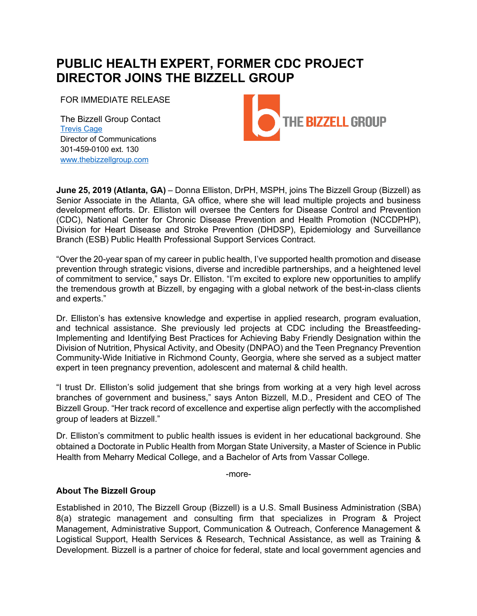## **PUBLIC HEALTH EXPERT, FORMER CDC PROJECT DIRECTOR JOINS THE BIZZELL GROUP**

FOR IMMEDIATE RELEASE

The Bizzell Group Contact Trevis Cage Director of Communications 301-459-0100 ext. 130 www.thebizzellgroup.com



**June 25, 2019 (Atlanta, GA)** – Donna Elliston, DrPH, MSPH, joins The Bizzell Group (Bizzell) as Senior Associate in the Atlanta, GA office, where she will lead multiple projects and business development efforts. Dr. Elliston will oversee the Centers for Disease Control and Prevention (CDC), National Center for Chronic Disease Prevention and Health Promotion (NCCDPHP), Division for Heart Disease and Stroke Prevention (DHDSP), Epidemiology and Surveillance Branch (ESB) Public Health Professional Support Services Contract.

"Over the 20-year span of my career in public health, I've supported health promotion and disease prevention through strategic visions, diverse and incredible partnerships, and a heightened level of commitment to service," says Dr. Elliston. "I'm excited to explore new opportunities to amplify the tremendous growth at Bizzell, by engaging with a global network of the best-in-class clients and experts."

Dr. Elliston's has extensive knowledge and expertise in applied research, program evaluation, and technical assistance. She previously led projects at CDC including the Breastfeeding-Implementing and Identifying Best Practices for Achieving Baby Friendly Designation within the Division of Nutrition, Physical Activity, and Obesity (DNPAO) and the Teen Pregnancy Prevention Community-Wide Initiative in Richmond County, Georgia, where she served as a subject matter expert in teen pregnancy prevention, adolescent and maternal & child health.

"I trust Dr. Elliston's solid judgement that she brings from working at a very high level across branches of government and business," says Anton Bizzell, M.D., President and CEO of The Bizzell Group. "Her track record of excellence and expertise align perfectly with the accomplished group of leaders at Bizzell."

Dr. Elliston's commitment to public health issues is evident in her educational background. She obtained a Doctorate in Public Health from Morgan State University, a Master of Science in Public Health from Meharry Medical College, and a Bachelor of Arts from Vassar College.

-more-

## **About The Bizzell Group**

Established in 2010, The Bizzell Group (Bizzell) is a U.S. Small Business Administration (SBA) 8(a) strategic management and consulting firm that specializes in Program & Project Management, Administrative Support, Communication & Outreach, Conference Management & Logistical Support, Health Services & Research, Technical Assistance, as well as Training & Development. Bizzell is a partner of choice for federal, state and local government agencies and